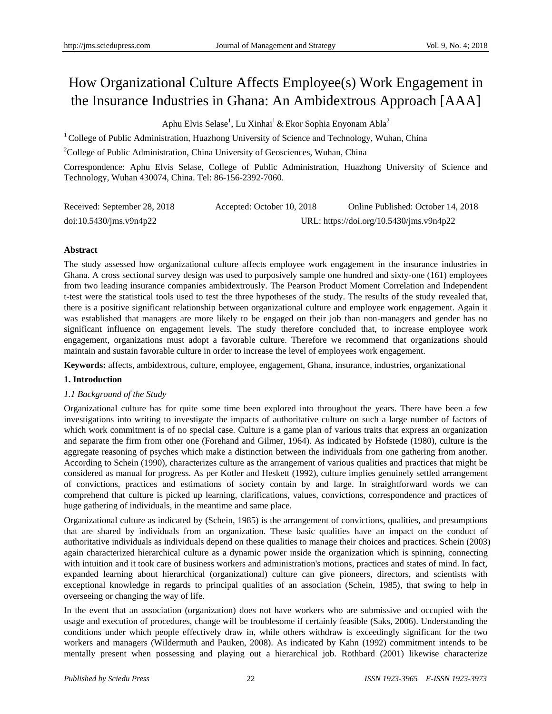# How Organizational Culture Affects Employee(s) Work Engagement in the Insurance Industries in Ghana: An Ambidextrous Approach [AAA]

Aphu Elvis Selase<sup>1</sup>, Lu Xinhai<sup>1</sup> & Ekor Sophia Enyonam Abla<sup>2</sup>

<sup>1</sup> College of Public Administration, Huazhong University of Science and Technology, Wuhan, China

 $2^2$ College of Public Administration, China University of Geosciences, Wuhan, China

Correspondence: Aphu Elvis Selase, College of Public Administration, Huazhong University of Science and Technology, Wuhan 430074, China. Tel: 86-156-2392-7060.

| Received: September 28, 2018                   | Accepted: October 10, 2018 | Online Published: October 14, 2018       |
|------------------------------------------------|----------------------------|------------------------------------------|
| $\frac{\text{doi:10.5430}}{\text{ms.v9n4p22}}$ |                            | URL: https://doi.org/10.5430/jms.v9n4p22 |

# **Abstract**

The study assessed how organizational culture affects employee work engagement in the insurance industries in Ghana. A cross sectional survey design was used to purposively sample one hundred and sixty-one (161) employees from two leading insurance companies ambidextrously. The Pearson Product Moment Correlation and Independent t-test were the statistical tools used to test the three hypotheses of the study. The results of the study revealed that, there is a positive significant relationship between organizational culture and employee work engagement. Again it was established that managers are more likely to be engaged on their job than non-managers and gender has no significant influence on engagement levels. The study therefore concluded that, to increase employee work engagement, organizations must adopt a favorable culture. Therefore we recommend that organizations should maintain and sustain favorable culture in order to increase the level of employees work engagement.

**Keywords:** affects, ambidextrous, culture, employee, engagement, Ghana, insurance, industries, organizational

#### **1. Introduction**

#### *1.1 Background of the Study*

Organizational culture has for quite some time been explored into throughout the years. There have been a few investigations into writing to investigate the impacts of authoritative culture on such a large number of factors of which work commitment is of no special case. Culture is a game plan of various traits that express an organization and separate the firm from other one (Forehand and Gilmer, 1964). As indicated by Hofstede (1980), culture is the aggregate reasoning of psyches which make a distinction between the individuals from one gathering from another. According to Schein (1990), characterizes culture as the arrangement of various qualities and practices that might be considered as manual for progress. As per Kotler and Heskett (1992), culture implies genuinely settled arrangement of convictions, practices and estimations of society contain by and large. In straightforward words we can comprehend that culture is picked up learning, clarifications, values, convictions, correspondence and practices of huge gathering of individuals, in the meantime and same place.

Organizational culture as indicated by (Schein, 1985) is the arrangement of convictions, qualities, and presumptions that are shared by individuals from an organization. These basic qualities have an impact on the conduct of authoritative individuals as individuals depend on these qualities to manage their choices and practices. Schein (2003) again characterized hierarchical culture as a dynamic power inside the organization which is spinning, connecting with intuition and it took care of business workers and administration's motions, practices and states of mind. In fact, expanded learning about hierarchical (organizational) culture can give pioneers, directors, and scientists with exceptional knowledge in regards to principal qualities of an association (Schein, 1985), that swing to help in overseeing or changing the way of life.

In the event that an association (organization) does not have workers who are submissive and occupied with the usage and execution of procedures, change will be troublesome if certainly feasible (Saks, 2006). Understanding the conditions under which people effectively draw in, while others withdraw is exceedingly significant for the two workers and managers (Wildermuth and Pauken, 2008). As indicated by Kahn (1992) commitment intends to be mentally present when possessing and playing out a hierarchical job. Rothbard (2001) likewise characterize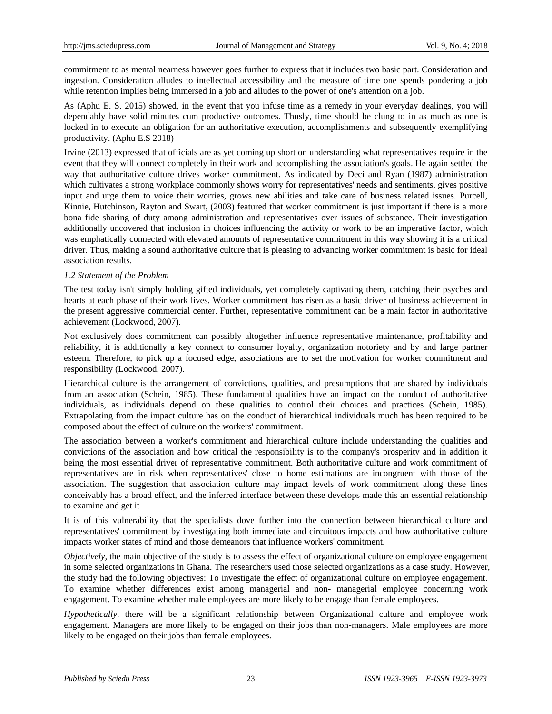commitment to as mental nearness however goes further to express that it includes two basic part. Consideration and ingestion. Consideration alludes to intellectual accessibility and the measure of time one spends pondering a job while retention implies being immersed in a job and alludes to the power of one's attention on a job.

As (Aphu E. S. 2015) showed, in the event that you infuse time as a remedy in your everyday dealings, you will dependably have solid minutes cum productive outcomes. Thusly, time should be clung to in as much as one is locked in to execute an obligation for an authoritative execution, accomplishments and subsequently exemplifying productivity. (Aphu E.S 2018)

Irvine (2013) expressed that officials are as yet coming up short on understanding what representatives require in the event that they will connect completely in their work and accomplishing the association's goals. He again settled the way that authoritative culture drives worker commitment. As indicated by Deci and Ryan (1987) administration which cultivates a strong workplace commonly shows worry for representatives' needs and sentiments, gives positive input and urge them to voice their worries, grows new abilities and take care of business related issues. Purcell, Kinnie, Hutchinson, Rayton and Swart, (2003) featured that worker commitment is just important if there is a more bona fide sharing of duty among administration and representatives over issues of substance. Their investigation additionally uncovered that inclusion in choices influencing the activity or work to be an imperative factor, which was emphatically connected with elevated amounts of representative commitment in this way showing it is a critical driver. Thus, making a sound authoritative culture that is pleasing to advancing worker commitment is basic for ideal association results.

## *1.2 Statement of the Problem*

The test today isn't simply holding gifted individuals, yet completely captivating them, catching their psyches and hearts at each phase of their work lives. Worker commitment has risen as a basic driver of business achievement in the present aggressive commercial center. Further, representative commitment can be a main factor in authoritative achievement (Lockwood, 2007).

Not exclusively does commitment can possibly altogether influence representative maintenance, profitability and reliability, it is additionally a key connect to consumer loyalty, organization notoriety and by and large partner esteem. Therefore, to pick up a focused edge, associations are to set the motivation for worker commitment and responsibility (Lockwood, 2007).

Hierarchical culture is the arrangement of convictions, qualities, and presumptions that are shared by individuals from an association (Schein, 1985). These fundamental qualities have an impact on the conduct of authoritative individuals, as individuals depend on these qualities to control their choices and practices (Schein, 1985). Extrapolating from the impact culture has on the conduct of hierarchical individuals much has been required to be composed about the effect of culture on the workers' commitment.

The association between a worker's commitment and hierarchical culture include understanding the qualities and convictions of the association and how critical the responsibility is to the company's prosperity and in addition it being the most essential driver of representative commitment. Both authoritative culture and work commitment of representatives are in risk when representatives' close to home estimations are incongruent with those of the association. The suggestion that association culture may impact levels of work commitment along these lines conceivably has a broad effect, and the inferred interface between these develops made this an essential relationship to examine and get it

It is of this vulnerability that the specialists dove further into the connection between hierarchical culture and representatives' commitment by investigating both immediate and circuitous impacts and how authoritative culture impacts worker states of mind and those demeanors that influence workers' commitment.

*Objectively*, the main objective of the study is to assess the effect of organizational culture on employee engagement in some selected organizations in Ghana. The researchers used those selected organizations as a case study. However, the study had the following objectives: To investigate the effect of organizational culture on employee engagement. To examine whether differences exist among managerial and non- managerial employee concerning work engagement. To examine whether male employees are more likely to be engage than female employees.

*Hypothetically,* there will be a significant relationship between Organizational culture and employee work engagement. Managers are more likely to be engaged on their jobs than non-managers. Male employees are more likely to be engaged on their jobs than female employees.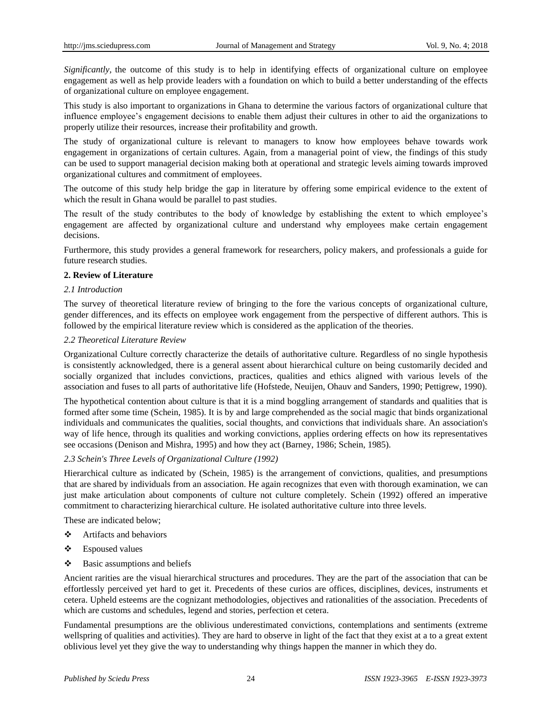*Significantly*, the outcome of this study is to help in identifying effects of organizational culture on employee engagement as well as help provide leaders with a foundation on which to build a better understanding of the effects of organizational culture on employee engagement.

This study is also important to organizations in Ghana to determine the various factors of organizational culture that influence employee"s engagement decisions to enable them adjust their cultures in other to aid the organizations to properly utilize their resources, increase their profitability and growth.

The study of organizational culture is relevant to managers to know how employees behave towards work engagement in organizations of certain cultures. Again, from a managerial point of view, the findings of this study can be used to support managerial decision making both at operational and strategic levels aiming towards improved organizational cultures and commitment of employees.

The outcome of this study help bridge the gap in literature by offering some empirical evidence to the extent of which the result in Ghana would be parallel to past studies.

The result of the study contributes to the body of knowledge by establishing the extent to which employee"s engagement are affected by organizational culture and understand why employees make certain engagement decisions.

Furthermore, this study provides a general framework for researchers, policy makers, and professionals a guide for future research studies.

## **2. Review of Literature**

## *2.1 Introduction*

The survey of theoretical literature review of bringing to the fore the various concepts of organizational culture, gender differences, and its effects on employee work engagement from the perspective of different authors. This is followed by the empirical literature review which is considered as the application of the theories.

## *2.2 Theoretical Literature Review*

Organizational Culture correctly characterize the details of authoritative culture. Regardless of no single hypothesis is consistently acknowledged, there is a general assent about hierarchical culture on being customarily decided and socially organized that includes convictions, practices, qualities and ethics aligned with various levels of the association and fuses to all parts of authoritative life (Hofstede, Neuijen, Ohauv and Sanders, 1990; Pettigrew, 1990).

The hypothetical contention about culture is that it is a mind boggling arrangement of standards and qualities that is formed after some time (Schein, 1985). It is by and large comprehended as the social magic that binds organizational individuals and communicates the qualities, social thoughts, and convictions that individuals share. An association's way of life hence, through its qualities and working convictions, applies ordering effects on how its representatives see occasions (Denison and Mishra, 1995) and how they act (Barney, 1986; Schein, 1985).

# *2.3 Schein's Three Levels of Organizational Culture (1992)*

Hierarchical culture as indicated by (Schein, 1985) is the arrangement of convictions, qualities, and presumptions that are shared by individuals from an association. He again recognizes that even with thorough examination, we can just make articulation about components of culture not culture completely. Schein (1992) offered an imperative commitment to characterizing hierarchical culture. He isolated authoritative culture into three levels.

These are indicated below;

- Artifacts and behaviors
- Espoused values
- $\triangleleft$  Basic assumptions and beliefs

Ancient rarities are the visual hierarchical structures and procedures. They are the part of the association that can be effortlessly perceived yet hard to get it. Precedents of these curios are offices, disciplines, devices, instruments et cetera. Upheld esteems are the cognizant methodologies, objectives and rationalities of the association. Precedents of which are customs and schedules, legend and stories, perfection et cetera.

Fundamental presumptions are the oblivious underestimated convictions, contemplations and sentiments (extreme wellspring of qualities and activities). They are hard to observe in light of the fact that they exist at a to a great extent oblivious level yet they give the way to understanding why things happen the manner in which they do.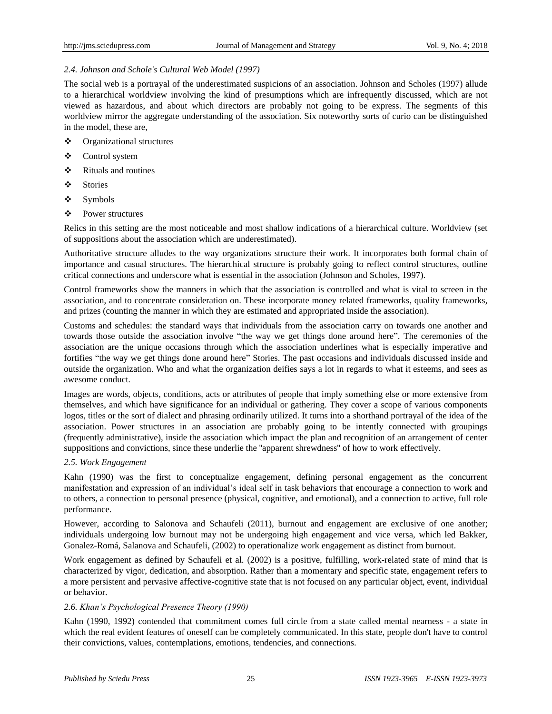# *2.4. Johnson and Schole's Cultural Web Model (1997)*

The social web is a portrayal of the underestimated suspicions of an association. Johnson and Scholes (1997) allude to a hierarchical worldview involving the kind of presumptions which are infrequently discussed, which are not viewed as hazardous, and about which directors are probably not going to be express. The segments of this worldview mirror the aggregate understanding of the association. Six noteworthy sorts of curio can be distinguished in the model, these are,

- Organizational structures
- ❖ Control system
- Rituals and routines
- Stories
- $\div$  Symbols
- Power structures

Relics in this setting are the most noticeable and most shallow indications of a hierarchical culture. Worldview (set of suppositions about the association which are underestimated).

Authoritative structure alludes to the way organizations structure their work. It incorporates both formal chain of importance and casual structures. The hierarchical structure is probably going to reflect control structures, outline critical connections and underscore what is essential in the association (Johnson and Scholes, 1997).

Control frameworks show the manners in which that the association is controlled and what is vital to screen in the association, and to concentrate consideration on. These incorporate money related frameworks, quality frameworks, and prizes (counting the manner in which they are estimated and appropriated inside the association).

Customs and schedules: the standard ways that individuals from the association carry on towards one another and towards those outside the association involve "the way we get things done around here". The ceremonies of the association are the unique occasions through which the association underlines what is especially imperative and fortifies "the way we get things done around here" Stories. The past occasions and individuals discussed inside and outside the organization. Who and what the organization deifies says a lot in regards to what it esteems, and sees as awesome conduct.

Images are words, objects, conditions, acts or attributes of people that imply something else or more extensive from themselves, and which have significance for an individual or gathering. They cover a scope of various components logos, titles or the sort of dialect and phrasing ordinarily utilized. It turns into a shorthand portrayal of the idea of the association. Power structures in an association are probably going to be intently connected with groupings (frequently administrative), inside the association which impact the plan and recognition of an arrangement of center suppositions and convictions, since these underlie the ''apparent shrewdness'' of how to work effectively.

# *2.5. Work Engagement*

Kahn (1990) was the first to conceptualize engagement, defining personal engagement as the concurrent manifestation and expression of an individual"s ideal self in task behaviors that encourage a connection to work and to others, a connection to personal presence (physical, cognitive, and emotional), and a connection to active, full role performance.

However, according to Salonova and Schaufeli (2011), burnout and engagement are exclusive of one another; individuals undergoing low burnout may not be undergoing high engagement and vice versa, which led Bakker, Gonalez-Romá, Salanova and Schaufeli, (2002) to operationalize work engagement as distinct from burnout.

Work engagement as defined by Schaufeli et al. (2002) is a positive, fulfilling, work-related state of mind that is characterized by vigor, dedication, and absorption. Rather than a momentary and specific state, engagement refers to a more persistent and pervasive affective-cognitive state that is not focused on any particular object, event, individual or behavior.

# *2.6. Khan's Psychological Presence Theory (1990)*

Kahn (1990, 1992) contended that commitment comes full circle from a state called mental nearness - a state in which the real evident features of oneself can be completely communicated. In this state, people don't have to control their convictions, values, contemplations, emotions, tendencies, and connections.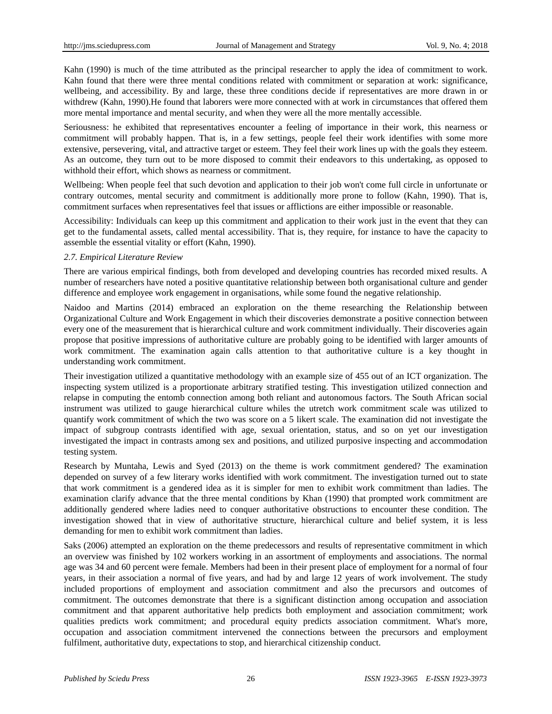Kahn (1990) is much of the time attributed as the principal researcher to apply the idea of commitment to work. Kahn found that there were three mental conditions related with commitment or separation at work: significance, wellbeing, and accessibility. By and large, these three conditions decide if representatives are more drawn in or withdrew (Kahn, 1990). He found that laborers were more connected with at work in circumstances that offered them more mental importance and mental security, and when they were all the more mentally accessible.

Seriousness: he exhibited that representatives encounter a feeling of importance in their work, this nearness or commitment will probably happen. That is, in a few settings, people feel their work identifies with some more extensive, persevering, vital, and attractive target or esteem. They feel their work lines up with the goals they esteem. As an outcome, they turn out to be more disposed to commit their endeavors to this undertaking, as opposed to withhold their effort, which shows as nearness or commitment.

Wellbeing: When people feel that such devotion and application to their job won't come full circle in unfortunate or contrary outcomes, mental security and commitment is additionally more prone to follow (Kahn, 1990). That is, commitment surfaces when representatives feel that issues or afflictions are either impossible or reasonable.

Accessibility: Individuals can keep up this commitment and application to their work just in the event that they can get to the fundamental assets, called mental accessibility. That is, they require, for instance to have the capacity to assemble the essential vitality or effort (Kahn, 1990).

## *2.7. Empirical Literature Review*

There are various empirical findings, both from developed and developing countries has recorded mixed results. A number of researchers have noted a positive quantitative relationship between both organisational culture and gender difference and employee work engagement in organisations, while some found the negative relationship.

Naidoo and Martins (2014) embraced an exploration on the theme researching the Relationship between Organizational Culture and Work Engagement in which their discoveries demonstrate a positive connection between every one of the measurement that is hierarchical culture and work commitment individually. Their discoveries again propose that positive impressions of authoritative culture are probably going to be identified with larger amounts of work commitment. The examination again calls attention to that authoritative culture is a key thought in understanding work commitment.

Their investigation utilized a quantitative methodology with an example size of 455 out of an ICT organization. The inspecting system utilized is a proportionate arbitrary stratified testing. This investigation utilized connection and relapse in computing the entomb connection among both reliant and autonomous factors. The South African social instrument was utilized to gauge hierarchical culture whiles the utretch work commitment scale was utilized to quantify work commitment of which the two was score on a 5 likert scale. The examination did not investigate the impact of subgroup contrasts identified with age, sexual orientation, status, and so on yet our investigation investigated the impact in contrasts among sex and positions, and utilized purposive inspecting and accommodation testing system.

Research by Muntaha, Lewis and Syed (2013) on the theme is work commitment gendered? The examination depended on survey of a few literary works identified with work commitment. The investigation turned out to state that work commitment is a gendered idea as it is simpler for men to exhibit work commitment than ladies. The examination clarify advance that the three mental conditions by Khan (1990) that prompted work commitment are additionally gendered where ladies need to conquer authoritative obstructions to encounter these condition. The investigation showed that in view of authoritative structure, hierarchical culture and belief system, it is less demanding for men to exhibit work commitment than ladies.

Saks (2006) attempted an exploration on the theme predecessors and results of representative commitment in which an overview was finished by 102 workers working in an assortment of employments and associations. The normal age was 34 and 60 percent were female. Members had been in their present place of employment for a normal of four years, in their association a normal of five years, and had by and large 12 years of work involvement. The study included proportions of employment and association commitment and also the precursors and outcomes of commitment. The outcomes demonstrate that there is a significant distinction among occupation and association commitment and that apparent authoritative help predicts both employment and association commitment; work qualities predicts work commitment; and procedural equity predicts association commitment. What's more, occupation and association commitment intervened the connections between the precursors and employment fulfilment, authoritative duty, expectations to stop, and hierarchical citizenship conduct.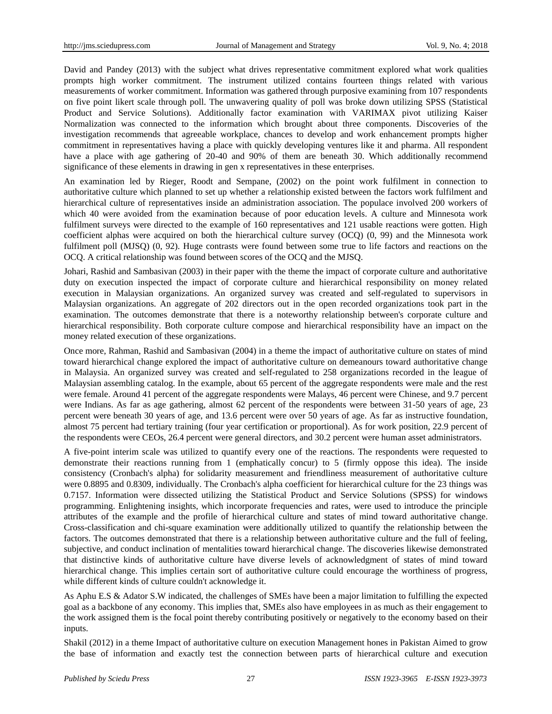David and Pandey (2013) with the subject what drives representative commitment explored what work qualities prompts high worker commitment. The instrument utilized contains fourteen things related with various measurements of worker commitment. Information was gathered through purposive examining from 107 respondents on five point likert scale through poll. The unwavering quality of poll was broke down utilizing SPSS (Statistical Product and Service Solutions). Additionally factor examination with VARIMAX pivot utilizing Kaiser Normalization was connected to the information which brought about three components. Discoveries of the investigation recommends that agreeable workplace, chances to develop and work enhancement prompts higher commitment in representatives having a place with quickly developing ventures like it and pharma. All respondent have a place with age gathering of 20-40 and 90% of them are beneath 30. Which additionally recommend significance of these elements in drawing in gen x representatives in these enterprises.

An examination led by Rieger, Roodt and Sempane, (2002) on the point work fulfilment in connection to authoritative culture which planned to set up whether a relationship existed between the factors work fulfilment and hierarchical culture of representatives inside an administration association. The populace involved 200 workers of which 40 were avoided from the examination because of poor education levels. A culture and Minnesota work fulfilment surveys were directed to the example of 160 representatives and 121 usable reactions were gotten. High coefficient alphas were acquired on both the hierarchical culture survey (OCQ) (0, 99) and the Minnesota work fulfilment poll (MJSQ) (0, 92). Huge contrasts were found between some true to life factors and reactions on the OCQ. A critical relationship was found between scores of the OCQ and the MJSQ.

Johari, Rashid and Sambasivan (2003) in their paper with the theme the impact of corporate culture and authoritative duty on execution inspected the impact of corporate culture and hierarchical responsibility on money related execution in Malaysian organizations. An organized survey was created and self-regulated to supervisors in Malaysian organizations. An aggregate of 202 directors out in the open recorded organizations took part in the examination. The outcomes demonstrate that there is a noteworthy relationship between's corporate culture and hierarchical responsibility. Both corporate culture compose and hierarchical responsibility have an impact on the money related execution of these organizations.

Once more, Rahman, Rashid and Sambasivan (2004) in a theme the impact of authoritative culture on states of mind toward hierarchical change explored the impact of authoritative culture on demeanours toward authoritative change in Malaysia. An organized survey was created and self-regulated to 258 organizations recorded in the league of Malaysian assembling catalog. In the example, about 65 percent of the aggregate respondents were male and the rest were female. Around 41 percent of the aggregate respondents were Malays, 46 percent were Chinese, and 9.7 percent were Indians. As far as age gathering, almost 62 percent of the respondents were between 31-50 years of age, 23 percent were beneath 30 years of age, and 13.6 percent were over 50 years of age. As far as instructive foundation, almost 75 percent had tertiary training (four year certification or proportional). As for work position, 22.9 percent of the respondents were CEOs, 26.4 percent were general directors, and 30.2 percent were human asset administrators.

A five-point interim scale was utilized to quantify every one of the reactions. The respondents were requested to demonstrate their reactions running from 1 (emphatically concur) to 5 (firmly oppose this idea). The inside consistency (Cronbach's alpha) for solidarity measurement and friendliness measurement of authoritative culture were 0.8895 and 0.8309, individually. The Cronbach's alpha coefficient for hierarchical culture for the 23 things was 0.7157. Information were dissected utilizing the Statistical Product and Service Solutions (SPSS) for windows programming. Enlightening insights, which incorporate frequencies and rates, were used to introduce the principle attributes of the example and the profile of hierarchical culture and states of mind toward authoritative change. Cross-classification and chi-square examination were additionally utilized to quantify the relationship between the factors. The outcomes demonstrated that there is a relationship between authoritative culture and the full of feeling, subjective, and conduct inclination of mentalities toward hierarchical change. The discoveries likewise demonstrated that distinctive kinds of authoritative culture have diverse levels of acknowledgment of states of mind toward hierarchical change. This implies certain sort of authoritative culture could encourage the worthiness of progress, while different kinds of culture couldn't acknowledge it.

As Aphu E.S & Adator S.W indicated, the challenges of SMEs have been a major limitation to fulfilling the expected goal as a backbone of any economy. This implies that, SMEs also have employees in as much as their engagement to the work assigned them is the focal point thereby contributing positively or negatively to the economy based on their inputs.

Shakil (2012) in a theme Impact of authoritative culture on execution Management hones in Pakistan Aimed to grow the base of information and exactly test the connection between parts of hierarchical culture and execution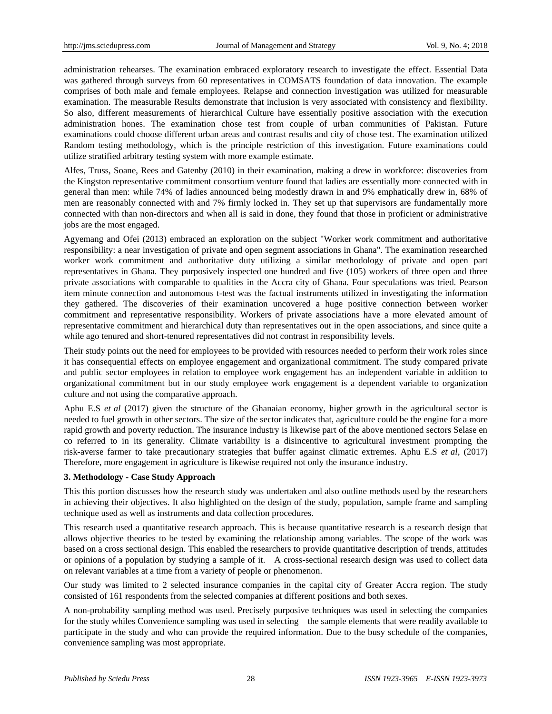administration rehearses. The examination embraced exploratory research to investigate the effect. Essential Data was gathered through surveys from 60 representatives in COMSATS foundation of data innovation. The example comprises of both male and female employees. Relapse and connection investigation was utilized for measurable examination. The measurable Results demonstrate that inclusion is very associated with consistency and flexibility. So also, different measurements of hierarchical Culture have essentially positive association with the execution administration hones. The examination chose test from couple of urban communities of Pakistan. Future examinations could choose different urban areas and contrast results and city of chose test. The examination utilized Random testing methodology, which is the principle restriction of this investigation. Future examinations could utilize stratified arbitrary testing system with more example estimate.

Alfes, Truss, Soane, Rees and Gatenby (2010) in their examination, making a drew in workforce: discoveries from the Kingston representative commitment consortium venture found that ladies are essentially more connected with in general than men: while 74% of ladies announced being modestly drawn in and 9% emphatically drew in, 68% of men are reasonably connected with and 7% firmly locked in. They set up that supervisors are fundamentally more connected with than non-directors and when all is said in done, they found that those in proficient or administrative jobs are the most engaged.

Agyemang and Ofei (2013) embraced an exploration on the subject "Worker work commitment and authoritative responsibility: a near investigation of private and open segment associations in Ghana". The examination researched worker work commitment and authoritative duty utilizing a similar methodology of private and open part representatives in Ghana. They purposively inspected one hundred and five (105) workers of three open and three private associations with comparable to qualities in the Accra city of Ghana. Four speculations was tried. Pearson item minute connection and autonomous t-test was the factual instruments utilized in investigating the information they gathered. The discoveries of their examination uncovered a huge positive connection between worker commitment and representative responsibility. Workers of private associations have a more elevated amount of representative commitment and hierarchical duty than representatives out in the open associations, and since quite a while ago tenured and short-tenured representatives did not contrast in responsibility levels.

Their study points out the need for employees to be provided with resources needed to perform their work roles since it has consequential effects on employee engagement and organizational commitment. The study compared private and public sector employees in relation to employee work engagement has an independent variable in addition to organizational commitment but in our study employee work engagement is a dependent variable to organization culture and not using the comparative approach.

Aphu E.S *et al* (2017) given the structure of the Ghanaian economy, higher growth in the agricultural sector is needed to fuel growth in other sectors. The size of the sector indicates that, agriculture could be the engine for a more rapid growth and poverty reduction. The insurance industry is likewise part of the above mentioned sectors Selase en co referred to in its generality. Climate variability is a disincentive to agricultural investment prompting the risk-averse farmer to take precautionary strategies that buffer against climatic extremes. Aphu E.S *et al*, (2017) Therefore, more engagement in agriculture is likewise required not only the insurance industry.

# **3. Methodology - Case Study Approach**

This this portion discusses how the research study was undertaken and also outline methods used by the researchers in achieving their objectives. It also highlighted on the design of the study, population, sample frame and sampling technique used as well as instruments and data collection procedures.

This research used a quantitative research approach. This is because quantitative research is a research design that allows objective theories to be tested by examining the relationship among variables. The scope of the work was based on a cross sectional design. This enabled the researchers to provide quantitative description of trends, attitudes or opinions of a population by studying a sample of it. A cross-sectional research design was used to collect data on relevant variables at a time from a variety of people or phenomenon.

Our study was limited to 2 selected insurance companies in the capital city of Greater Accra region. The study consisted of 161 respondents from the selected companies at different positions and both sexes.

A non-probability sampling method was used. Precisely purposive techniques was used in selecting the companies for the study whiles Convenience sampling was used in selecting the sample elements that were readily available to participate in the study and who can provide the required information. Due to the busy schedule of the companies, convenience sampling was most appropriate.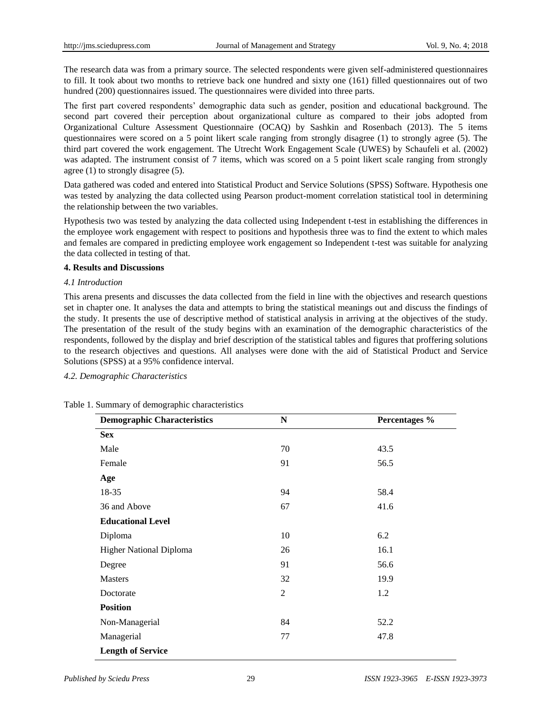The research data was from a primary source. The selected respondents were given self-administered questionnaires to fill. It took about two months to retrieve back one hundred and sixty one (161) filled questionnaires out of two hundred (200) questionnaires issued. The questionnaires were divided into three parts.

The first part covered respondents" demographic data such as gender, position and educational background. The second part covered their perception about organizational culture as compared to their jobs adopted from Organizational Culture Assessment Questionnaire (OCAQ) by Sashkin and Rosenbach (2013). The 5 items questionnaires were scored on a 5 point likert scale ranging from strongly disagree (1) to strongly agree (5). The third part covered the work engagement. The Utrecht Work Engagement Scale (UWES) by Schaufeli et al. (2002) was adapted. The instrument consist of 7 items, which was scored on a 5 point likert scale ranging from strongly agree (1) to strongly disagree (5).

Data gathered was coded and entered into Statistical Product and Service Solutions (SPSS) Software. Hypothesis one was tested by analyzing the data collected using Pearson product-moment correlation statistical tool in determining the relationship between the two variables.

Hypothesis two was tested by analyzing the data collected using Independent t-test in establishing the differences in the employee work engagement with respect to positions and hypothesis three was to find the extent to which males and females are compared in predicting employee work engagement so Independent t-test was suitable for analyzing the data collected in testing of that.

## **4. Results and Discussions**

## *4.1 Introduction*

This arena presents and discusses the data collected from the field in line with the objectives and research questions set in chapter one. It analyses the data and attempts to bring the statistical meanings out and discuss the findings of the study. It presents the use of descriptive method of statistical analysis in arriving at the objectives of the study. The presentation of the result of the study begins with an examination of the demographic characteristics of the respondents, followed by the display and brief description of the statistical tables and figures that proffering solutions to the research objectives and questions. All analyses were done with the aid of Statistical Product and Service Solutions (SPSS) at a 95% confidence interval.

# *4.2. Demographic Characteristics*

| <b>Demographic Characteristics</b> | ${\bf N}$      | Percentages % |
|------------------------------------|----------------|---------------|
| <b>Sex</b>                         |                |               |
| Male                               | 70             | 43.5          |
| Female                             | 91             | 56.5          |
| Age                                |                |               |
| 18-35                              | 94             | 58.4          |
| 36 and Above                       | 67             | 41.6          |
| <b>Educational Level</b>           |                |               |
| Diploma                            | 10             | 6.2           |
| Higher National Diploma            | 26             | 16.1          |
| Degree                             | 91             | 56.6          |
| <b>Masters</b>                     | 32             | 19.9          |
| Doctorate                          | $\overline{2}$ | 1.2           |
| <b>Position</b>                    |                |               |
| Non-Managerial                     | 84             | 52.2          |
| Managerial                         | 77             | 47.8          |
| <b>Length of Service</b>           |                |               |

#### Table 1. Summary of demographic characteristics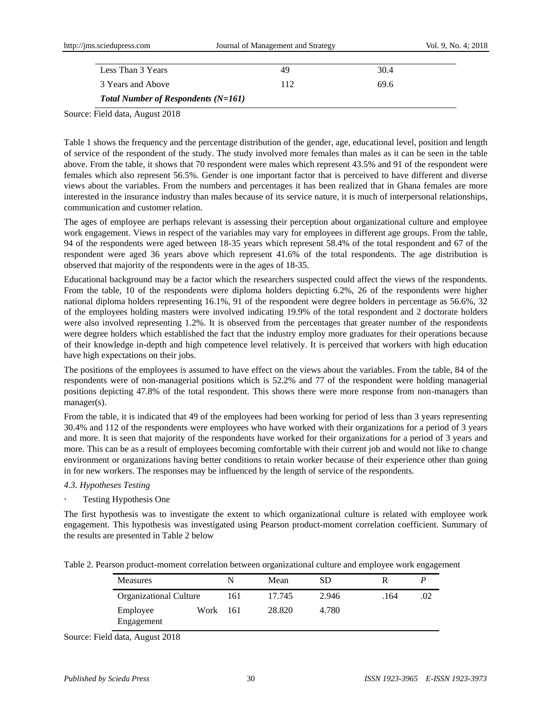| http://jms.sciedupress.com            | Journal of Management and Strategy |      | Vol. 9, No. 4; 2018 |  |  |
|---------------------------------------|------------------------------------|------|---------------------|--|--|
| Less Than 3 Years                     | 49                                 | 30.4 |                     |  |  |
| 3 Years and Above                     | 112                                | 69.6 |                     |  |  |
| Total Number of Respondents $(N=161)$ |                                    |      |                     |  |  |

Source: Field data, August 2018

Table 1 shows the frequency and the percentage distribution of the gender, age, educational level, position and length of service of the respondent of the study. The study involved more females than males as it can be seen in the table above. From the table, it shows that 70 respondent were males which represent 43.5% and 91 of the respondent were females which also represent 56.5%. Gender is one important factor that is perceived to have different and diverse views about the variables. From the numbers and percentages it has been realized that in Ghana females are more interested in the insurance industry than males because of its service nature, it is much of interpersonal relationships, communication and customer relation.

The ages of employee are perhaps relevant is assessing their perception about organizational culture and employee work engagement. Views in respect of the variables may vary for employees in different age groups. From the table, 94 of the respondents were aged between 18-35 years which represent 58.4% of the total respondent and 67 of the respondent were aged 36 years above which represent 41.6% of the total respondents. The age distribution is observed that majority of the respondents were in the ages of 18-35.

Educational background may be a factor which the researchers suspected could affect the views of the respondents. From the table, 10 of the respondents were diploma holders depicting 6.2%, 26 of the respondents were higher national diploma holders representing 16.1%, 91 of the respondent were degree holders in percentage as 56.6%, 32 of the employees holding masters were involved indicating 19.9% of the total respondent and 2 doctorate holders were also involved representing 1.2%. It is observed from the percentages that greater number of the respondents were degree holders which established the fact that the industry employ more graduates for their operations because of their knowledge in-depth and high competence level relatively. It is perceived that workers with high education have high expectations on their jobs.

The positions of the employees is assumed to have effect on the views about the variables. From the table, 84 of the respondents were of non-managerial positions which is 52.2% and 77 of the respondent were holding managerial positions depicting 47.8% of the total respondent. This shows there were more response from non-managers than manager(s).

From the table, it is indicated that 49 of the employees had been working for period of less than 3 years representing 30.4% and 112 of the respondents were employees who have worked with their organizations for a period of 3 years and more. It is seen that majority of the respondents have worked for their organizations for a period of 3 years and more. This can be as a result of employees becoming comfortable with their current job and would not like to change environment or organizations having better conditions to retain worker because of their experience other than going in for new workers. The responses may be influenced by the length of service of the respondents.

#### *4.3. Hypotheses Testing*

# Testing Hypothesis One

The first hypothesis was to investigate the extent to which organizational culture is related with employee work engagement. This hypothesis was investigated using Pearson product-moment correlation coefficient. Summary of the results are presented in Table 2 below

| Table 2. Pearson product-moment correlation between organizational culture and employee work engagement |  |  |  |
|---------------------------------------------------------------------------------------------------------|--|--|--|
|---------------------------------------------------------------------------------------------------------|--|--|--|

| <b>Measures</b>               |      |     | Mean   | SD    |      |     |
|-------------------------------|------|-----|--------|-------|------|-----|
| <b>Organizational Culture</b> |      | 161 | 17.745 | 2.946 | .164 | .02 |
| Employee<br>Engagement        | Work | 161 | 28.820 | 4.780 |      |     |

Source: Field data, August 2018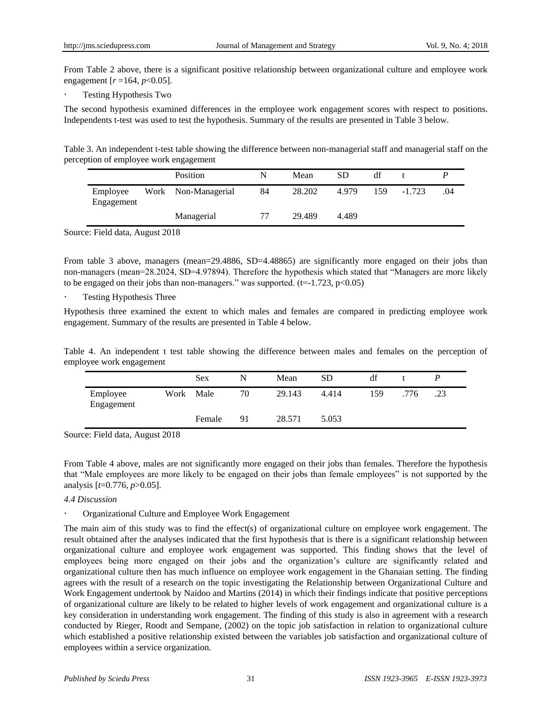From Table 2 above, there is a significant positive relationship between organizational culture and employee work engagement  $[r=164, p<0.05]$ .

Testing Hypothesis Two

The second hypothesis examined differences in the employee work engagement scores with respect to positions. Independents t-test was used to test the hypothesis. Summary of the results are presented in Table 3 below.

Table 3. An independent t-test table showing the difference between non-managerial staff and managerial staff on the perception of employee work engagement

|                        | Position            | N  | Mean   | SD    | df  |          |     |
|------------------------|---------------------|----|--------|-------|-----|----------|-----|
| Employee<br>Engagement | Work Non-Managerial | 84 | 28.202 | 4.979 | 159 | $-1.723$ | .04 |
|                        | Managerial          | 77 | 29.489 | 4.489 |     |          |     |

Source: Field data, August 2018

From table 3 above, managers (mean=29.4886, SD=4.48865) are significantly more engaged on their jobs than non-managers (mean=28.2024, SD=4.97894). Therefore the hypothesis which stated that "Managers are more likely to be engaged on their jobs than non-managers." was supported.  $(t=1.723, p<0.05)$ 

# Testing Hypothesis Three

Hypothesis three examined the extent to which males and females are compared in predicting employee work engagement. Summary of the results are presented in Table 4 below.

Table 4. An independent t test table showing the difference between males and females on the perception of employee work engagement

|                        |      | <b>Sex</b> | N  | Mean   | SD    | df  |      |     |
|------------------------|------|------------|----|--------|-------|-----|------|-----|
| Employee<br>Engagement | Work | Male       | 70 | 29.143 | 4.414 | 159 | .776 | .23 |
|                        |      | Female     | 91 | 28.571 | 5.053 |     |      |     |

Source: Field data, August 2018

From Table 4 above, males are not significantly more engaged on their jobs than females. Therefore the hypothesis that "Male employees are more likely to be engaged on their jobs than female employees" is not supported by the analysis [*t*=0.776, *p*>0.05].

# *4.4 Discussion*

# Organizational Culture and Employee Work Engagement

The main aim of this study was to find the effect(s) of organizational culture on employee work engagement. The result obtained after the analyses indicated that the first hypothesis that is there is a significant relationship between organizational culture and employee work engagement was supported. This finding shows that the level of employees being more engaged on their jobs and the organization"s culture are significantly related and organizational culture then has much influence on employee work engagement in the Ghanaian setting. The finding agrees with the result of a research on the topic investigating the Relationship between Organizational Culture and Work Engagement undertook by Naidoo and Martins (2014) in which their findings indicate that positive perceptions of organizational culture are likely to be related to higher levels of work engagement and organizational culture is a key consideration in understanding work engagement. The finding of this study is also in agreement with a research conducted by Rieger, Roodt and Sempane, (2002) on the topic job satisfaction in relation to organizational culture which established a positive relationship existed between the variables job satisfaction and organizational culture of employees within a service organization.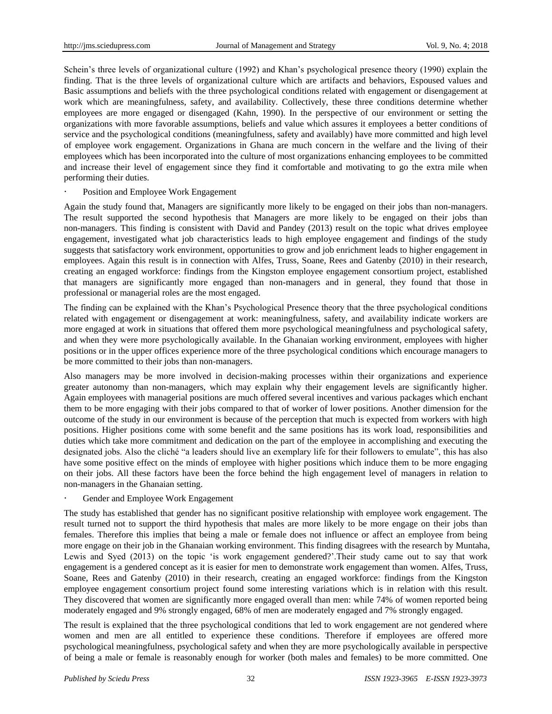Schein's three levels of organizational culture (1992) and Khan's psychological presence theory (1990) explain the finding. That is the three levels of organizational culture which are artifacts and behaviors, Espoused values and Basic assumptions and beliefs with the three psychological conditions related with engagement or disengagement at work which are meaningfulness, safety, and availability. Collectively, these three conditions determine whether employees are more engaged or disengaged (Kahn, 1990). In the perspective of our environment or setting the organizations with more favorable assumptions, beliefs and value which assures it employees a better conditions of service and the psychological conditions (meaningfulness, safety and availably) have more committed and high level of employee work engagement. Organizations in Ghana are much concern in the welfare and the living of their employees which has been incorporated into the culture of most organizations enhancing employees to be committed and increase their level of engagement since they find it comfortable and motivating to go the extra mile when performing their duties.

Position and Employee Work Engagement

Again the study found that, Managers are significantly more likely to be engaged on their jobs than non-managers. The result supported the second hypothesis that Managers are more likely to be engaged on their jobs than non-managers. This finding is consistent with David and Pandey (2013) result on the topic what drives employee engagement, investigated what job characteristics leads to high employee engagement and findings of the study suggests that satisfactory work environment, opportunities to grow and job enrichment leads to higher engagement in employees. Again this result is in connection with Alfes, Truss, Soane, Rees and Gatenby (2010) in their research, creating an engaged workforce: findings from the Kingston employee engagement consortium project, established that managers are significantly more engaged than non-managers and in general, they found that those in professional or managerial roles are the most engaged.

The finding can be explained with the Khan"s Psychological Presence theory that the three psychological conditions related with engagement or disengagement at work: meaningfulness, safety, and availability indicate workers are more engaged at work in situations that offered them more psychological meaningfulness and psychological safety, and when they were more psychologically available. In the Ghanaian working environment, employees with higher positions or in the upper offices experience more of the three psychological conditions which encourage managers to be more committed to their jobs than non-managers.

Also managers may be more involved in decision-making processes within their organizations and experience greater autonomy than non-managers, which may explain why their engagement levels are significantly higher. Again employees with managerial positions are much offered several incentives and various packages which enchant them to be more engaging with their jobs compared to that of worker of lower positions. Another dimension for the outcome of the study in our environment is because of the perception that much is expected from workers with high positions. Higher positions come with some benefit and the same positions has its work load, responsibilities and duties which take more commitment and dedication on the part of the employee in accomplishing and executing the designated jobs. Also the cliché "a leaders should live an exemplary life for their followers to emulate", this has also have some positive effect on the minds of employee with higher positions which induce them to be more engaging on their jobs. All these factors have been the force behind the high engagement level of managers in relation to non-managers in the Ghanaian setting.

Gender and Employee Work Engagement

The study has established that gender has no significant positive relationship with employee work engagement. The result turned not to support the third hypothesis that males are more likely to be more engage on their jobs than females. Therefore this implies that being a male or female does not influence or affect an employee from being more engage on their job in the Ghanaian working environment. This finding disagrees with the research by Muntaha, Lewis and Syed (2013) on the topic "is work engagement gendered?".Their study came out to say that work engagement is a gendered concept as it is easier for men to demonstrate work engagement than women. Alfes, Truss, Soane, Rees and Gatenby (2010) in their research, creating an engaged workforce: findings from the Kingston employee engagement consortium project found some interesting variations which is in relation with this result. They discovered that women are significantly more engaged overall than men: while 74% of women reported being moderately engaged and 9% strongly engaged, 68% of men are moderately engaged and 7% strongly engaged.

The result is explained that the three psychological conditions that led to work engagement are not gendered where women and men are all entitled to experience these conditions. Therefore if employees are offered more psychological meaningfulness, psychological safety and when they are more psychologically available in perspective of being a male or female is reasonably enough for worker (both males and females) to be more committed. One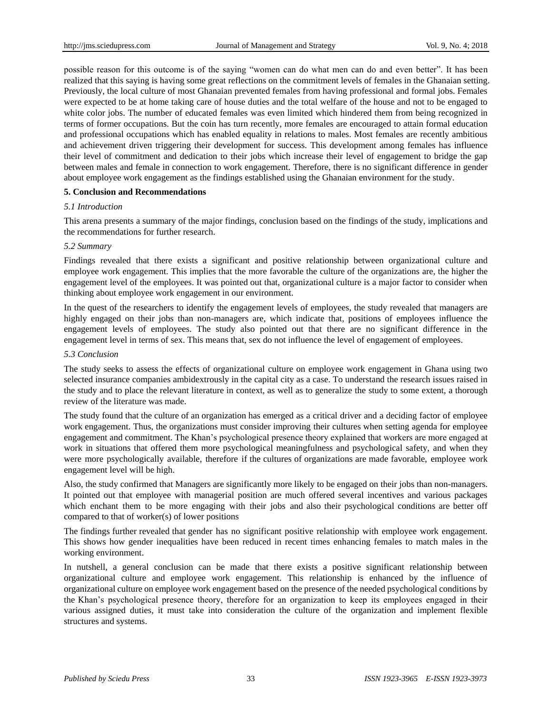possible reason for this outcome is of the saying "women can do what men can do and even better". It has been realized that this saying is having some great reflections on the commitment levels of females in the Ghanaian setting. Previously, the local culture of most Ghanaian prevented females from having professional and formal jobs. Females were expected to be at home taking care of house duties and the total welfare of the house and not to be engaged to white color jobs. The number of educated females was even limited which hindered them from being recognized in terms of former occupations. But the coin has turn recently, more females are encouraged to attain formal education and professional occupations which has enabled equality in relations to males. Most females are recently ambitious and achievement driven triggering their development for success. This development among females has influence their level of commitment and dedication to their jobs which increase their level of engagement to bridge the gap between males and female in connection to work engagement. Therefore, there is no significant difference in gender about employee work engagement as the findings established using the Ghanaian environment for the study.

#### **5. Conclusion and Recommendations**

#### *5.1 Introduction*

This arena presents a summary of the major findings, conclusion based on the findings of the study, implications and the recommendations for further research.

## *5.2 Summary*

Findings revealed that there exists a significant and positive relationship between organizational culture and employee work engagement. This implies that the more favorable the culture of the organizations are, the higher the engagement level of the employees. It was pointed out that, organizational culture is a major factor to consider when thinking about employee work engagement in our environment.

In the quest of the researchers to identify the engagement levels of employees, the study revealed that managers are highly engaged on their jobs than non-managers are, which indicate that, positions of employees influence the engagement levels of employees. The study also pointed out that there are no significant difference in the engagement level in terms of sex. This means that, sex do not influence the level of engagement of employees.

#### *5.3 Conclusion*

The study seeks to assess the effects of organizational culture on employee work engagement in Ghana using two selected insurance companies ambidextrously in the capital city as a case. To understand the research issues raised in the study and to place the relevant literature in context, as well as to generalize the study to some extent, a thorough review of the literature was made.

The study found that the culture of an organization has emerged as a critical driver and a deciding factor of employee work engagement. Thus, the organizations must consider improving their cultures when setting agenda for employee engagement and commitment. The Khan"s psychological presence theory explained that workers are more engaged at work in situations that offered them more psychological meaningfulness and psychological safety, and when they were more psychologically available, therefore if the cultures of organizations are made favorable, employee work engagement level will be high.

Also, the study confirmed that Managers are significantly more likely to be engaged on their jobs than non-managers. It pointed out that employee with managerial position are much offered several incentives and various packages which enchant them to be more engaging with their jobs and also their psychological conditions are better off compared to that of worker(s) of lower positions

The findings further revealed that gender has no significant positive relationship with employee work engagement. This shows how gender inequalities have been reduced in recent times enhancing females to match males in the working environment.

In nutshell, a general conclusion can be made that there exists a positive significant relationship between organizational culture and employee work engagement. This relationship is enhanced by the influence of organizational culture on employee work engagement based on the presence of the needed psychological conditions by the Khan"s psychological presence theory, therefore for an organization to keep its employees engaged in their various assigned duties, it must take into consideration the culture of the organization and implement flexible structures and systems.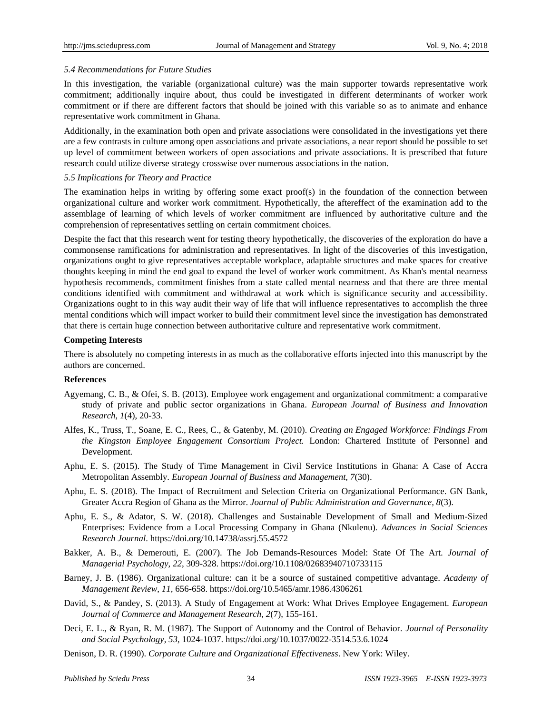#### *5.4 Recommendations for Future Studies*

In this investigation, the variable (organizational culture) was the main supporter towards representative work commitment; additionally inquire about, thus could be investigated in different determinants of worker work commitment or if there are different factors that should be joined with this variable so as to animate and enhance representative work commitment in Ghana.

Additionally, in the examination both open and private associations were consolidated in the investigations yet there are a few contrasts in culture among open associations and private associations, a near report should be possible to set up level of commitment between workers of open associations and private associations. It is prescribed that future research could utilize diverse strategy crosswise over numerous associations in the nation.

## *5.5 Implications for Theory and Practice*

The examination helps in writing by offering some exact proof(s) in the foundation of the connection between organizational culture and worker work commitment. Hypothetically, the aftereffect of the examination add to the assemblage of learning of which levels of worker commitment are influenced by authoritative culture and the comprehension of representatives settling on certain commitment choices.

Despite the fact that this research went for testing theory hypothetically, the discoveries of the exploration do have a commonsense ramifications for administration and representatives. In light of the discoveries of this investigation, organizations ought to give representatives acceptable workplace, adaptable structures and make spaces for creative thoughts keeping in mind the end goal to expand the level of worker work commitment. As Khan's mental nearness hypothesis recommends, commitment finishes from a state called mental nearness and that there are three mental conditions identified with commitment and withdrawal at work which is significance security and accessibility. Organizations ought to in this way audit their way of life that will influence representatives to accomplish the three mental conditions which will impact worker to build their commitment level since the investigation has demonstrated that there is certain huge connection between authoritative culture and representative work commitment.

#### **Competing Interests**

There is absolutely no competing interests in as much as the collaborative efforts injected into this manuscript by the authors are concerned.

#### **References**

- Agyemang, C. B., & Ofei, S. B. (2013). Employee work engagement and organizational commitment: a comparative study of private and public sector organizations in Ghana. *European Journal of Business and Innovation Research*, *1*(4), 20-33.
- Alfes, K., Truss, T., Soane, E. C., Rees, C., & Gatenby, M. (2010). *Creating an Engaged Workforce: Findings From the Kingston Employee Engagement Consortium Project.* London: Chartered Institute of Personnel and Development*.*
- Aphu, E. S. (2015). The Study of Time Management in Civil Service Institutions in Ghana: A Case of Accra Metropolitan Assembly. *European Journal of Business and Management, 7*(30).
- Aphu, E. S. (2018). The Impact of Recruitment and Selection Criteria on Organizational Performance. GN Bank, Greater Accra Region of Ghana as the Mirror. *Journal of Public Administration and Governance, 8*(3).
- Aphu, E. S., & Adator, S. W. (2018). Challenges and Sustainable Development of Small and Medium-Sized Enterprises: Evidence from a Local Processing Company in Ghana (Nkulenu). *Advances in Social Sciences Research Journal*. https://doi.org/10.14738/assrj.55.4572
- Bakker, A. B., & Demerouti, E. (2007). The Job Demands-Resources Model: State Of The Art. *Journal of Managerial Psychology*, *22*, 309-328. https://doi.org/10.1108/02683940710733115
- Barney, J. B. (1986). Organizational culture: can it be a source of sustained competitive advantage. *Academy of Management Review*, *11*, 656-658. https://doi.org/10.5465/amr.1986.4306261
- David, S., & Pandey, S. (2013). A Study of Engagement at Work: What Drives Employee Engagement. *European Journal of Commerce and Management Research*, *2*(7), 155-161.
- Deci, E. L., & Ryan, R. M. (1987). The Support of Autonomy and the Control of Behavior. *Journal of Personality and Social Psychology*, *53,* 1024-1037. https://doi.org/10.1037/0022-3514.53.6.1024
- Denison, D. R. (1990). *Corporate Culture and Organizational Effectiveness*. New York: Wiley.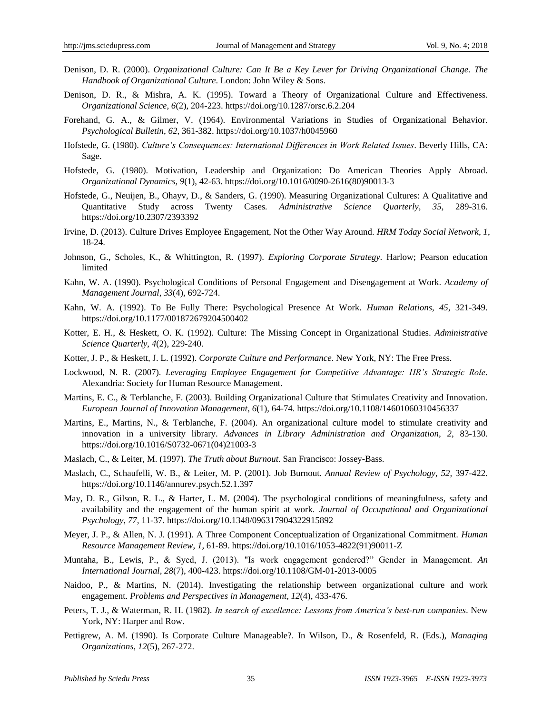- Denison, D. R. (2000). *Organizational Culture: Can It Be a Key Lever for Driving Organizational Change. The Handbook of Organizational Culture*. London: John Wiley & Sons.
- Denison, D. R., & Mishra, A. K. (1995). Toward a Theory of Organizational Culture and Effectiveness. *Organizational Science*, *6*(2), 204-223. https://doi.org/10.1287/orsc.6.2.204
- Forehand, G. A., & Gilmer, V. (1964). Environmental Variations in Studies of Organizational Behavior. *Psychological Bulletin*, *62*, 361-382. https://doi.org/10.1037/h0045960
- Hofstede, G. (1980). *Culture's Consequences: International Differences in Work Related Issues*. Beverly Hills, CA: Sage.
- Hofstede, G. (1980). Motivation, Leadership and Organization: Do American Theories Apply Abroad. *Organizational Dynamics*, *9*(1), 42-63. https://doi.org/10.1016/0090-2616(80)90013-3
- Hofstede, G., Neuijen, B., Ohayv, D., & Sanders, G. (1990). Measuring Organizational Cultures: A Qualitative and Quantitative Study across Twenty Cases*. Administrative Science Quarterly, 35*, 289-316. https://doi.org/10.2307/2393392
- Irvine, D. (2013). Culture Drives Employee Engagement, Not the Other Way Around. *HRM Today Social Network, 1*, 18-24.
- Johnson, G., Scholes, K., & Whittington, R. (1997). *Exploring Corporate Strategy*. Harlow; Pearson education limited
- Kahn, W. A. (1990). Psychological Conditions of Personal Engagement and Disengagement at Work. *Academy of Management Journal*, *33*(4), 692-724.
- Kahn, W. A. (1992). To Be Fully There: Psychological Presence At Work. *Human Relations*, *45*, 321-349. https://doi.org/10.1177/001872679204500402
- Kotter, E. H., & Heskett, O. K. (1992). Culture: The Missing Concept in Organizational Studies. *Administrative Science Quarterly*, *4*(2), 229-240.
- Kotter, J. P., & Heskett, J. L. (1992). *Corporate Culture and Performance*. New York, NY: The Free Press.
- Lockwood, N. R. (2007). *Leveraging Employee Engagement for Competitive Advantage: HR's Strategic Role*. Alexandria: Society for Human Resource Management.
- Martins, E. C., & Terblanche, F. (2003). Building Organizational Culture that Stimulates Creativity and Innovation. *European Journal of Innovation Management, 6*(1), 64-74. https://doi.org/10.1108/14601060310456337
- Martins, E., Martins, N., & Terblanche, F. (2004). An organizational culture model to stimulate creativity and innovation in a university library. *Advances in Library Administration and Organization*, *2*, 83-130. https://doi.org/10.1016/S0732-0671(04)21003-3
- Maslach, C., & Leiter, M. (1997). *The Truth about Burnout*. San Francisco: Jossey-Bass.
- Maslach, C., Schaufelli, W. B., & Leiter, M. P. (2001). Job Burnout. *Annual Review of Psychology, 52,* 397-422. https://doi.org/10.1146/annurev.psych.52.1.397
- May, D. R., Gilson, R. L., & Harter, L. M. (2004). The psychological conditions of meaningfulness, safety and availability and the engagement of the human spirit at work. *Journal of Occupational and Organizational Psychology*, *77,* 11-37. https://doi.org/10.1348/096317904322915892
- Meyer, J. P., & Allen, N. J. (1991). A Three Component Conceptualization of Organizational Commitment. *Human Resource Management Review*, *1,* 61-89. https://doi.org/10.1016/1053-4822(91)90011-Z
- Muntaha, B., Lewis, P., & Syed, J. (2013). "Is work engagement gendered?" Gender in Management. *An International Journal, 28*(7), 400-423. https://doi.org/10.1108/GM-01-2013-0005
- Naidoo, P., & Martins, N. (2014). Investigating the relationship between organizational culture and work engagement. *Problems and Perspectives in Management*, *12*(4), 433-476.
- Peters, T. J., & Waterman, R. H. (1982). *In search of excellence: Lessons from America's best-run companies*. New York, NY: Harper and Row.
- Pettigrew, A. M. (1990). Is Corporate Culture Manageable?. In Wilson, D., & Rosenfeld, R. (Eds.), *Managing Organizations*, *12*(5), 267-272.